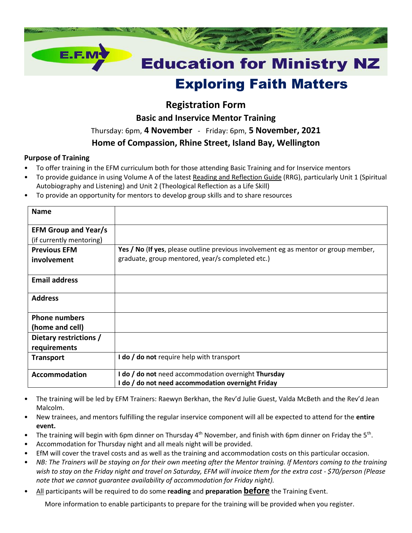

# Exploring Faith Matters

# **Registration Form**

**Basic and Inservice Mentor Training**

Thursday: 6pm, **4 November** - Friday: 6pm, **5 November, 2021**

## **Home of Compassion, Rhine Street, Island Bay, Wellington**

#### **Purpose of Training**

- To offer training in the EFM curriculum both for those attending Basic Training and for Inservice mentors
- To provide guidance in using Volume A of the latest Reading and Reflection Guide (RRG), particularly Unit 1 (Spiritual Autobiography and Listening) and Unit 2 (Theological Reflection as a Life Skill)
- To provide an opportunity for mentors to develop group skills and to share resources

| <b>Name</b>                                             |                                                                                                                                         |
|---------------------------------------------------------|-----------------------------------------------------------------------------------------------------------------------------------------|
| <b>EFM Group and Year/s</b><br>(if currently mentoring) |                                                                                                                                         |
| <b>Previous EFM</b><br>involvement                      | Yes / No (If yes, please outline previous involvement eg as mentor or group member,<br>graduate, group mentored, year/s completed etc.) |
| <b>Email address</b>                                    |                                                                                                                                         |
| <b>Address</b>                                          |                                                                                                                                         |
| <b>Phone numbers</b><br>(home and cell)                 |                                                                                                                                         |
| Dietary restrictions /<br>requirements                  |                                                                                                                                         |
| <b>Transport</b>                                        | I do / do not require help with transport                                                                                               |
| <b>Accommodation</b>                                    | I do / do not need accommodation overnight Thursday<br>I do / do not need accommodation overnight Friday                                |

- The training will be led by EFM Trainers: Raewyn Berkhan, the Rev'd Julie Guest, Valda McBeth and the Rev'd Jean Malcolm.
- New trainees, and mentors fulfilling the regular inservice component will all be expected to attend for the **entire event.**
- The training will begin with 6pm dinner on Thursday 4<sup>th</sup> November, and finish with 6pm dinner on Friday the 5<sup>th</sup>.
- Accommodation for Thursday night and all meals night will be provided.
- EfM will cover the travel costs and as well as the training and accommodation costs on this particular occasion.
- *NB: The Trainers will be staying on for their own meeting after the Mentor training. If Mentors coming to the training wish to stay on the Friday night and travel on Saturday, EFM will invoice them for the extra cost - \$70/person (Please note that we cannot guarantee availability of accommodation for Friday night).*
- All participants will be required to do some **reading** and **preparation before** the Training Event.

More information to enable participants to prepare for the training will be provided when you register.